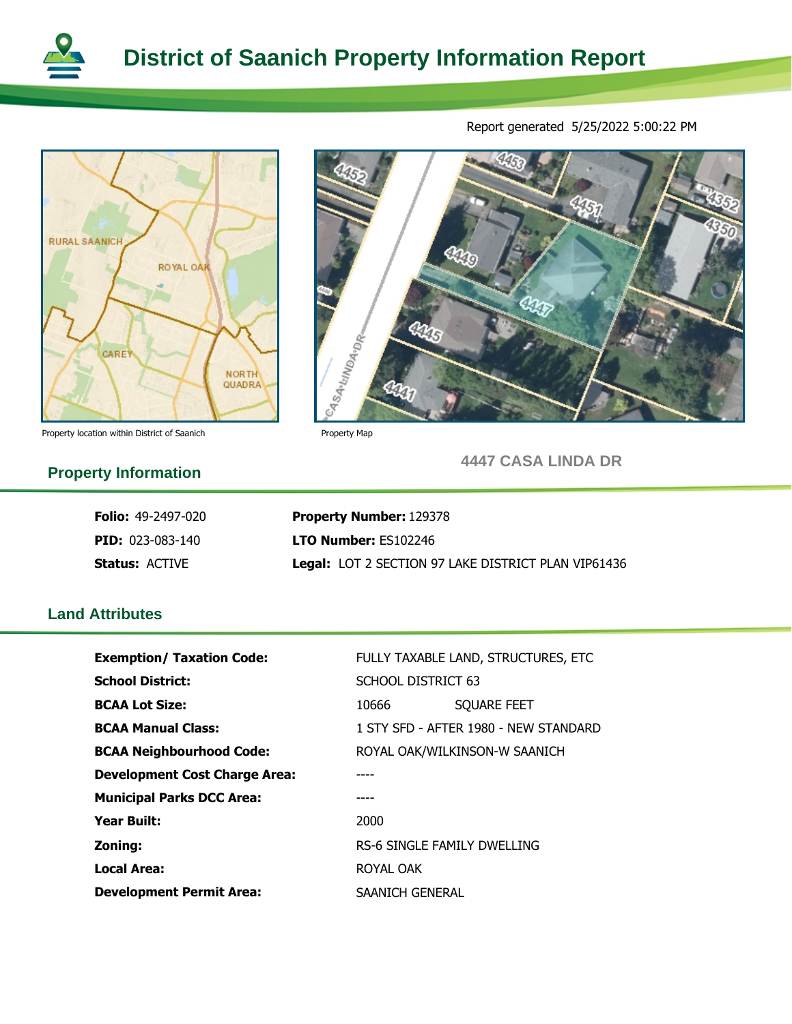



Property location within District of Saanich Property Map

Report generated 5/25/2022 5:00:22 PM 445  $q_{\rm 3n}$ Qn

**4447 CASA LINDA DR**

 $a_{\nu}$ 

# **Property Information**

**PID:** 023-083-140 **Folio:** 49-2497-020

**Status:** ACTIVE

**LTO Number: ES102246 Property Number:** 129378 **Legal:** LOT 2 SECTION 97 LAKE DISTRICT PLAN VIP61436

445

**District of Saanich Property Information Report**

## **Land Attributes**

| <b>Exemption/ Taxation Code:</b>     | FULLY TAXABLE LAND, STRUCTURES, ETC   |  |  |
|--------------------------------------|---------------------------------------|--|--|
| <b>School District:</b>              | <b>SCHOOL DISTRICT 63</b>             |  |  |
| <b>BCAA Lot Size:</b>                | <b>SQUARE FEET</b><br>10666           |  |  |
| <b>BCAA Manual Class:</b>            | 1 STY SFD - AFTER 1980 - NEW STANDARD |  |  |
| <b>BCAA Neighbourhood Code:</b>      | ROYAL OAK/WILKINSON-W SAANICH         |  |  |
| <b>Development Cost Charge Area:</b> |                                       |  |  |
| <b>Municipal Parks DCC Area:</b>     |                                       |  |  |
| <b>Year Built:</b>                   | 2000                                  |  |  |
| Zoning:                              | RS-6 SINGLE FAMILY DWELLING           |  |  |
| Local Area:                          | ROYAL OAK                             |  |  |
| <b>Development Permit Area:</b>      | SAANICH GENERAL                       |  |  |

eq savunanga